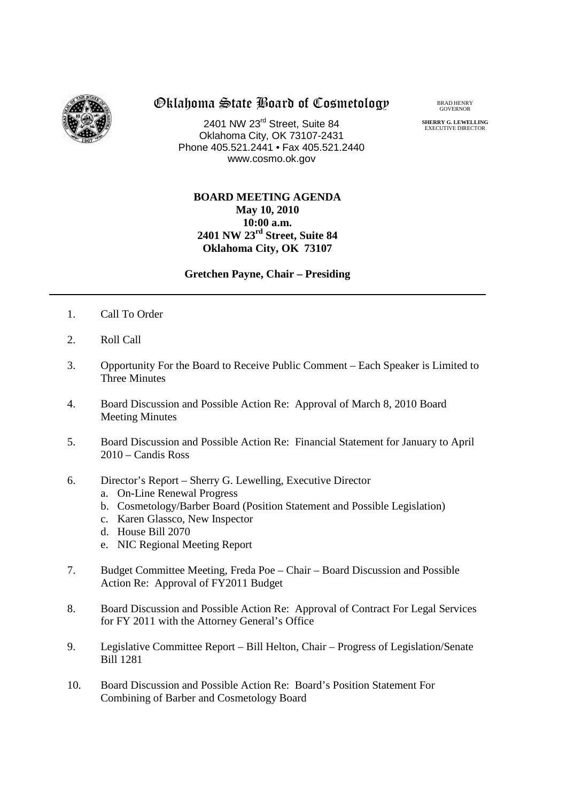

# Oklahoma State Board of Cosmetology

2401 NW 23rd Street, Suite 84 Oklahoma City, OK 73107-2431 Phone 405.521.2441 • Fax 405.521.2440 www.cosmo.ok.gov

#### BRAD HENRY GOVERNOR

**SHERRY G. LEWELLING** EXECUTIVE DIRECTO

### **BOARD MEETING AGENDA May 10, 2010 10:00 a.m. 2401 NW 23rd Street, Suite 84 Oklahoma City, OK 73107**

### **Gretchen Payne, Chair – Presiding**

- 1. Call To Order
- 2. Roll Call
- 3. Opportunity For the Board to Receive Public Comment Each Speaker is Limited to Three Minutes
- 4. Board Discussion and Possible Action Re: Approval of March 8, 2010 Board Meeting Minutes
- 5. Board Discussion and Possible Action Re: Financial Statement for January to April 2010 – Candis Ross
- 6. Director's Report Sherry G. Lewelling, Executive Director
	- a. On-Line Renewal Progress
	- b. Cosmetology/Barber Board (Position Statement and Possible Legislation)
	- c. Karen Glassco, New Inspector
	- d. House Bill 2070
	- e. NIC Regional Meeting Report
- 7. Budget Committee Meeting, Freda Poe Chair Board Discussion and Possible Action Re: Approval of FY2011 Budget
- 8. Board Discussion and Possible Action Re: Approval of Contract For Legal Services for FY 2011 with the Attorney General's Office
- 9. Legislative Committee Report Bill Helton, Chair Progress of Legislation/Senate Bill 1281
- 10. Board Discussion and Possible Action Re: Board's Position Statement For Combining of Barber and Cosmetology Board